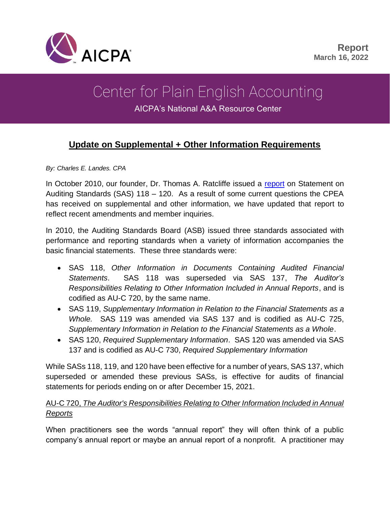

# Center for Plain English Accounting

AICPA's National A&A Resource Center

# **Update on Supplemental + Other Information Requirements**

*By: Charles E. Landes. CPA*

In October 2010, our founder, Dr. Thomas A. Ratcliffe issued a [report](https://us.aicpa.org/interestareas/centerforplainenglishaccounting/resources/2010/auditing-guidance-supplementary-information.html?contentType=secured) on Statement on Auditing Standards (SAS) 118 – 120. As a result of some current questions the CPEA has received on supplemental and other information, we have updated that report to reflect recent amendments and member inquiries.

In 2010, the Auditing Standards Board (ASB) issued three standards associated with performance and reporting standards when a variety of information accompanies the basic financial statements. These three standards were:

- SAS 118, *Other Information in Documents Containing Audited Financial Statements*. SAS 118 was superseded via SAS 137, *The Auditor's Responsibilities Relating to Other Information Included in Annual Reports*, and is codified as AU-C 720, by the same name.
- SAS 119, *Supplementary Information in Relation to the Financial Statements as a Whole.* SAS 119 was amended via SAS 137 and is codified as AU-C 725, *Supplementary Information in Relation to the Financial Statements as a Whole*.
- SAS 120, *Required Supplementary Information*. SAS 120 was amended via SAS 137 and is codified as AU-C 730, *Required Supplementary Information*

While SASs 118, 119, and 120 have been effective for a number of years, SAS 137, which superseded or amended these previous SASs, is effective for audits of financial statements for periods ending on or after December 15, 2021.

#### AU-C 720, *The Auditor's Responsibilities Relating to Other Information Included in Annual Reports*

When practitioners see the words "annual report" they will often think of a public company's annual report or maybe an annual report of a nonprofit. A practitioner may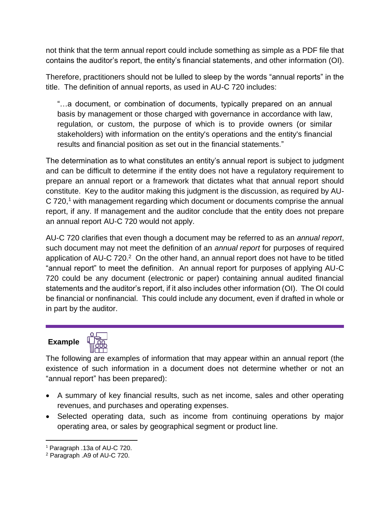not think that the term annual report could include something as simple as a PDF file that contains the auditor's report, the entity's financial statements, and other information (OI).

Therefore, practitioners should not be lulled to sleep by the words "annual reports" in the title. The definition of annual reports, as used in AU-C 720 includes:

"…a document, or combination of documents, typically prepared on an annual basis by management or those charged with governance in accordance with law, regulation, or custom, the purpose of which is to provide owners (or similar stakeholders) with information on the entity's operations and the entity's financial results and financial position as set out in the financial statements."

The determination as to what constitutes an entity's annual report is subject to judgment and can be difficult to determine if the entity does not have a regulatory requirement to prepare an annual report or a framework that dictates what that annual report should constitute. Key to the auditor making this judgment is the discussion, as required by AU-C 720,<sup>1</sup> with management regarding which document or documents comprise the annual report, if any. If management and the auditor conclude that the entity does not prepare an annual report AU-C 720 would not apply.

AU-C 720 clarifies that even though a document may be referred to as an *annual report*, such document may not meet the definition of an *annual report* for purposes of required application of AU-C  $720.<sup>2</sup>$  On the other hand, an annual report does not have to be titled "annual report" to meet the definition. An annual report for purposes of applying AU-C 720 could be any document (electronic or paper) containing annual audited financial statements and the auditor's report, if it also includes other information (OI). The OI could be financial or nonfinancial. This could include any document, even if drafted in whole or in part by the auditor.

# **Example**



The following are examples of information that may appear within an annual report (the existence of such information in a document does not determine whether or not an "annual report" has been prepared):

- A summary of key financial results, such as net income, sales and other operating revenues, and purchases and operating expenses.
- Selected operating data, such as income from continuing operations by major operating area, or sales by geographical segment or product line.

<sup>1</sup> Paragraph .13a of AU-C 720.

<sup>2</sup> Paragraph .A9 of AU-C 720.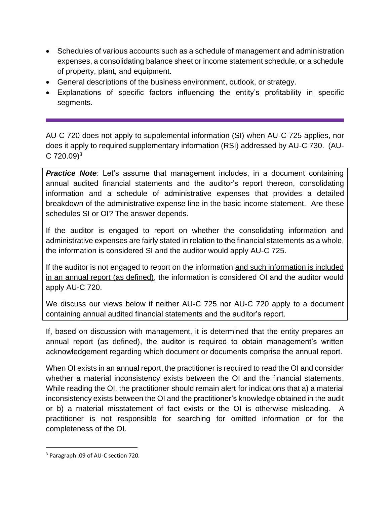- Schedules of various accounts such as a schedule of management and administration expenses, a consolidating balance sheet or income statement schedule, or a schedule of property, plant, and equipment.
- General descriptions of the business environment, outlook, or strategy.
- Explanations of specific factors influencing the entity's profitability in specific segments.

AU-C 720 does not apply to supplemental information (SI) when AU-C 725 applies, nor does it apply to required supplementary information (RSI) addressed by AU-C 730. (AU- $C$  720.09)<sup>3</sup>

*Practice Note*: Let's assume that management includes, in a document containing annual audited financial statements and the auditor's report thereon, consolidating information and a schedule of administrative expenses that provides a detailed breakdown of the administrative expense line in the basic income statement. Are these schedules SI or OI? The answer depends.

If the auditor is engaged to report on whether the consolidating information and administrative expenses are fairly stated in relation to the financial statements as a whole, the information is considered SI and the auditor would apply AU-C 725.

If the auditor is not engaged to report on the information and such information is included in an annual report (as defined), the information is considered OI and the auditor would apply AU-C 720.

We discuss our views below if neither AU-C 725 nor AU-C 720 apply to a document containing annual audited financial statements and the auditor's report.

If, based on discussion with management, it is determined that the entity prepares an annual report (as defined), the auditor is required to obtain management's written acknowledgement regarding which document or documents comprise the annual report.

When OI exists in an annual report, the practitioner is required to read the OI and consider whether a material inconsistency exists between the OI and the financial statements. While reading the OI, the practitioner should remain alert for indications that a) a material inconsistency exists between the OI and the practitioner's knowledge obtained in the audit or b) a material misstatement of fact exists or the OI is otherwise misleading. A practitioner is not responsible for searching for omitted information or for the completeness of the OI.

<sup>3</sup> Paragraph .09 of AU-C section 720.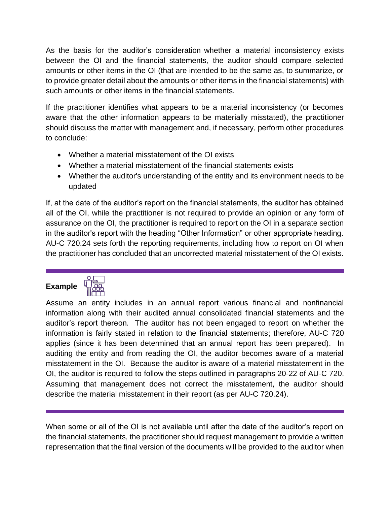As the basis for the auditor's consideration whether a material inconsistency exists between the OI and the financial statements, the auditor should compare selected amounts or other items in the OI (that are intended to be the same as, to summarize, or to provide greater detail about the amounts or other items in the financial statements) with such amounts or other items in the financial statements.

If the practitioner identifies what appears to be a material inconsistency (or becomes aware that the other information appears to be materially misstated), the practitioner should discuss the matter with management and, if necessary, perform other procedures to conclude:

- Whether a material misstatement of the OI exists
- Whether a material misstatement of the financial statements exists
- Whether the auditor's understanding of the entity and its environment needs to be updated

If, at the date of the auditor's report on the financial statements, the auditor has obtained all of the OI, while the practitioner is not required to provide an opinion or any form of assurance on the OI, the practitioner is required to report on the OI in a separate section in the auditor's report with the heading "Other Information" or other appropriate heading. AU-C 720.24 sets forth the reporting requirements, including how to report on OI when the practitioner has concluded that an uncorrected material misstatement of the OI exists.

## **Example**



Assume an entity includes in an annual report various financial and nonfinancial information along with their audited annual consolidated financial statements and the auditor's report thereon. The auditor has not been engaged to report on whether the information is fairly stated in relation to the financial statements; therefore, AU-C 720 applies (since it has been determined that an annual report has been prepared). In auditing the entity and from reading the OI, the auditor becomes aware of a material misstatement in the OI. Because the auditor is aware of a material misstatement in the OI, the auditor is required to follow the steps outlined in paragraphs 20-22 of AU-C 720. Assuming that management does not correct the misstatement, the auditor should describe the material misstatement in their report (as per AU-C 720.24).

When some or all of the OI is not available until after the date of the auditor's report on the financial statements, the practitioner should request management to provide a written representation that the final version of the documents will be provided to the auditor when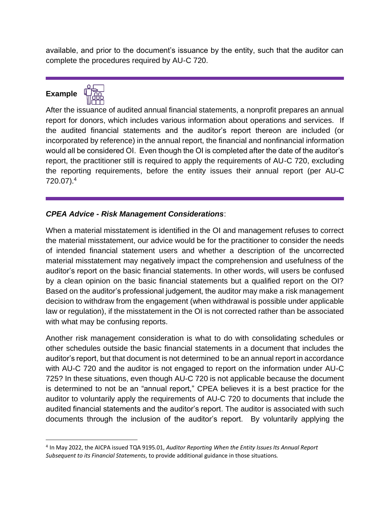available, and prior to the document's issuance by the entity, such that the auditor can complete the procedures required by AU-C 720.

## **Example**



After the issuance of audited annual financial statements, a nonprofit prepares an annual report for donors, which includes various information about operations and services. If the audited financial statements and the auditor's report thereon are included (or incorporated by reference) in the annual report, the financial and nonfinancial information would all be considered OI. Even though the OI is completed after the date of the auditor's report, the practitioner still is required to apply the requirements of AU-C 720, excluding the reporting requirements, before the entity issues their annual report (per AU-C 720.07). 4

#### *CPEA Advice - Risk Management Considerations*:

When a material misstatement is identified in the OI and management refuses to correct the material misstatement, our advice would be for the practitioner to consider the needs of intended financial statement users and whether a description of the uncorrected material misstatement may negatively impact the comprehension and usefulness of the auditor's report on the basic financial statements. In other words, will users be confused by a clean opinion on the basic financial statements but a qualified report on the OI? Based on the auditor's professional judgement, the auditor may make a risk management decision to withdraw from the engagement (when withdrawal is possible under applicable law or regulation), if the misstatement in the OI is not corrected rather than be associated with what may be confusing reports.

Another risk management consideration is what to do with consolidating schedules or other schedules outside the basic financial statements in a document that includes the auditor's report, but that document is not determined to be an annual report in accordance with AU-C 720 and the auditor is not engaged to report on the information under AU-C 725? In these situations, even though AU-C 720 is not applicable because the document is determined to not be an "annual report," CPEA believes it is a best practice for the auditor to voluntarily apply the requirements of AU-C 720 to documents that include the audited financial statements and the auditor's report. The auditor is associated with such documents through the inclusion of the auditor's report. By voluntarily applying the

<sup>4</sup> In May 2022, the AICPA issued TQA 9195.01, *Auditor Reporting When the Entity Issues Its Annual Report Subsequent to its Financial Statements*, to provide additional guidance in those situations.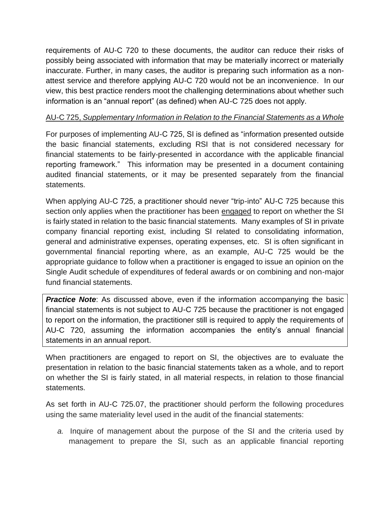requirements of AU-C 720 to these documents, the auditor can reduce their risks of possibly being associated with information that may be materially incorrect or materially inaccurate. Further, in many cases, the auditor is preparing such information as a nonattest service and therefore applying AU-C 720 would not be an inconvenience. In our view, this best practice renders moot the challenging determinations about whether such information is an "annual report" (as defined) when AU-C 725 does not apply.

#### AU-C 725, *Supplementary Information in Relation to the Financial Statements as a Whole*

For purposes of implementing AU-C 725, SI is defined as "information presented outside the basic financial statements, excluding RSI that is not considered necessary for financial statements to be fairly-presented in accordance with the applicable financial reporting framework." This information may be presented in a document containing audited financial statements, or it may be presented separately from the financial statements.

When applying AU-C 725, a practitioner should never "trip-into" AU-C 725 because this section only applies when the practitioner has been engaged to report on whether the SI is fairly stated in relation to the basic financial statements. Many examples of SI in private company financial reporting exist, including SI related to consolidating information, general and administrative expenses, operating expenses, etc. SI is often significant in governmental financial reporting where, as an example, AU-C 725 would be the appropriate guidance to follow when a practitioner is engaged to issue an opinion on the Single Audit schedule of expenditures of federal awards or on combining and non-major fund financial statements.

**Practice Note**: As discussed above, even if the information accompanying the basic financial statements is not subject to AU-C 725 because the practitioner is not engaged to report on the information, the practitioner still is required to apply the requirements of AU-C 720, assuming the information accompanies the entity's annual financial statements in an annual report.

When practitioners are engaged to report on SI, the objectives are to evaluate the presentation in relation to the basic financial statements taken as a whole, and to report on whether the SI is fairly stated, in all material respects, in relation to those financial statements.

As set forth in AU-C 725.07, the practitioner should perform the following procedures using the same materiality level used in the audit of the financial statements:

*a.* Inquire of management about the purpose of the SI and the criteria used by management to prepare the SI, such as an applicable financial reporting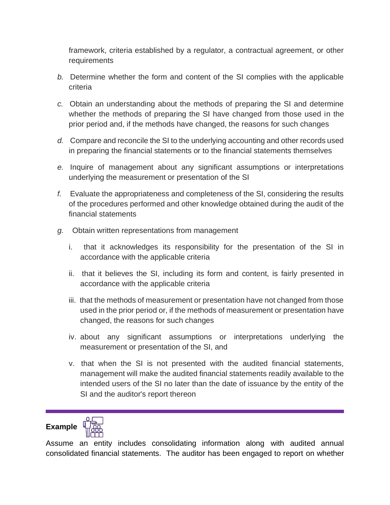framework, criteria established by a regulator, a contractual agreement, or other requirements

- *b.* Determine whether the form and content of the SI complies with the applicable criteria
- *c.* Obtain an understanding about the methods of preparing the SI and determine whether the methods of preparing the SI have changed from those used in the prior period and, if the methods have changed, the reasons for such changes
- *d.* Compare and reconcile the SI to the underlying accounting and other records used in preparing the financial statements or to the financial statements themselves
- *e.* Inquire of management about any significant assumptions or interpretations underlying the measurement or presentation of the SI
- *f.* Evaluate the appropriateness and completeness of the SI, considering the results of the procedures performed and other knowledge obtained during the audit of the financial statements
- *g.* Obtain written representations from management
	- i. that it acknowledges its responsibility for the presentation of the SI in accordance with the applicable criteria
	- ii. that it believes the SI, including its form and content, is fairly presented in accordance with the applicable criteria
	- iii. that the methods of measurement or presentation have not changed from those used in the prior period or, if the methods of measurement or presentation have changed, the reasons for such changes
	- iv. about any significant assumptions or interpretations underlying the measurement or presentation of the SI, and
	- v. that when the SI is not presented with the audited financial statements, management will make the audited financial statements readily available to the intended users of the SI no later than the date of issuance by the entity of the SI and the auditor's report thereon

## **Example**



Assume an entity includes consolidating information along with audited annual consolidated financial statements. The auditor has been engaged to report on whether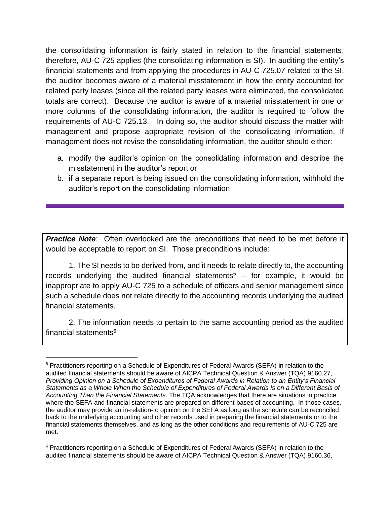the consolidating information is fairly stated in relation to the financial statements; therefore, AU-C 725 applies (the consolidating information is SI). In auditing the entity's financial statements and from applying the procedures in AU-C 725.07 related to the SI, the auditor becomes aware of a material misstatement in how the entity accounted for related party leases (since all the related party leases were eliminated, the consolidated totals are correct). Because the auditor is aware of a material misstatement in one or more columns of the consolidating information, the auditor is required to follow the requirements of AU-C 725.13. In doing so, the auditor should discuss the matter with management and propose appropriate revision of the consolidating information. If management does not revise the consolidating information, the auditor should either:

- a. modify the auditor's opinion on the consolidating information and describe the misstatement in the auditor's report or
- b. if a separate report is being issued on the consolidating information, withhold the auditor's report on the consolidating information

**Practice Note:** Often overlooked are the preconditions that need to be met before it would be acceptable to report on SI. Those preconditions include:

1. The SI needs to be derived from, and it needs to relate directly to, the accounting records underlying the audited financial statements<sup>5</sup>  $-$  for example, it would be inappropriate to apply AU-C 725 to a schedule of officers and senior management since such a schedule does not relate directly to the accounting records underlying the audited financial statements.

2. The information needs to pertain to the same accounting period as the audited financial statements<sup>6</sup>

<sup>5</sup> Practitioners reporting on a Schedule of Expenditures of Federal Awards (SEFA) in relation to the audited financial statements should be aware of AICPA Technical Question & Answer (TQA) 9160.27, *Providing Opinion on a Schedule of Expenditures of Federal Awards in Relation to an Entity's Financial Statements as a Whole When the Schedule of Expenditures of Federal Awards Is on a Different Basis of Accounting Than the Financial Statements*. The TQA acknowledges that there are situations in practice where the SEFA and financial statements are prepared on different bases of accounting. In those cases, the auditor may provide an in-relation-to opinion on the SEFA as long as the schedule can be reconciled back to the underlying accounting and other records used in preparing the financial statements or to the financial statements themselves, and as long as the other conditions and requirements of AU-C 725 are met.

<sup>6</sup> Practitioners reporting on a Schedule of Expenditures of Federal Awards (SEFA) in relation to the audited financial statements should be aware of AICPA Technical Question & Answer (TQA) 9160.36,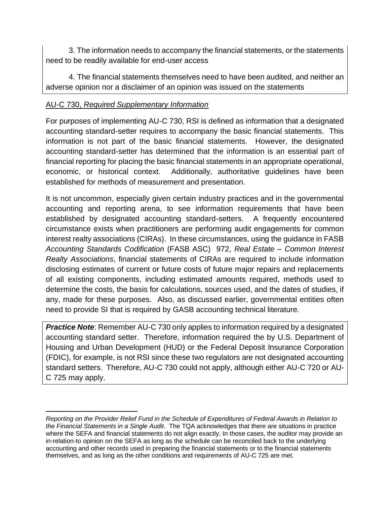3. The information needs to accompany the financial statements, or the statements need to be readily available for end-user access

4. The financial statements themselves need to have been audited, and neither an adverse opinion nor a disclaimer of an opinion was issued on the statements

#### AU-C 730, *Required Supplementary Information*

For purposes of implementing AU-C 730, RSI is defined as information that a designated accounting standard-setter requires to accompany the basic financial statements. This information is not part of the basic financial statements. However, the designated accounting standard-setter has determined that the information is an essential part of financial reporting for placing the basic financial statements in an appropriate operational, economic, or historical context. Additionally, authoritative guidelines have been established for methods of measurement and presentation.

It is not uncommon, especially given certain industry practices and in the governmental accounting and reporting arena, to see information requirements that have been established by designated accounting standard-setters. A frequently encountered circumstance exists when practitioners are performing audit engagements for common interest realty associations (CIRAs). In these circumstances, using the guidance in FASB *Accounting Standards Codification* (FASB ASC) 972, *Real Estate – Common Interest Realty Associations*, financial statements of CIRAs are required to include information disclosing estimates of current or future costs of future major repairs and replacements of all existing components, including estimated amounts required, methods used to determine the costs, the basis for calculations, sources used, and the dates of studies, if any, made for these purposes. Also, as discussed earlier, governmental entities often need to provide SI that is required by GASB accounting technical literature.

**Practice Note:** Remember AU-C 730 only applies to information required by a designated accounting standard setter. Therefore, information required the by U.S. Department of Housing and Urban Development (HUD) or the Federal Deposit Insurance Corporation (FDIC), for example, is not RSI since these two regulators are not designated accounting standard setters. Therefore, AU-C 730 could not apply, although either AU-C 720 or AU-C 725 may apply.

*Reporting on the Provider Relief Fund in the Schedule of Expenditures of Federal Awards in Relation to the Financial Statements in a Single Audit*. The TQA acknowledges that there are situations in practice where the SEFA and financial statements do not align exactly. In those cases, the auditor may provide an in-relation-to opinion on the SEFA as long as the schedule can be reconciled back to the underlying accounting and other records used in preparing the financial statements or to the financial statements themselves, and as long as the other conditions and requirements of AU-C 725 are met.